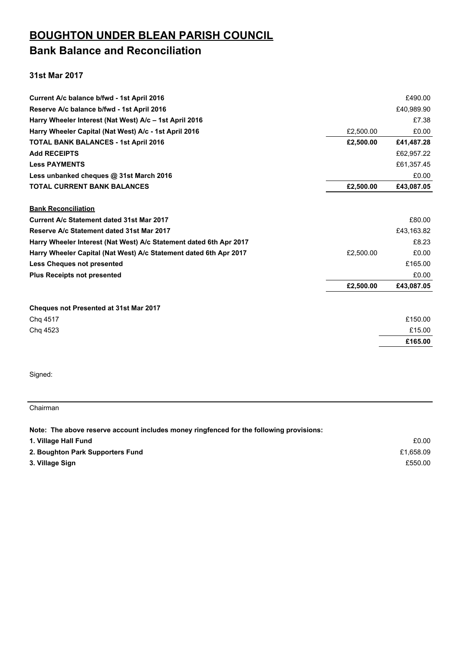### **BOUGHTON UNDER BLEAN PARISH COUNCIL Bank Balance and Reconciliation**

#### **31st Mar 2017**

| Current A/c balance b/fwd - 1st April 2016                         |           | £490.00    |
|--------------------------------------------------------------------|-----------|------------|
| Reserve A/c balance b/fwd - 1st April 2016                         |           | £40,989.90 |
| Harry Wheeler Interest (Nat West) A/c - 1st April 2016             |           | £7.38      |
| Harry Wheeler Capital (Nat West) A/c - 1st April 2016              | £2,500.00 | £0.00      |
| <b>TOTAL BANK BALANCES - 1st April 2016</b>                        | £2,500.00 | £41,487.28 |
| <b>Add RECEIPTS</b>                                                |           | £62,957.22 |
| <b>Less PAYMENTS</b>                                               |           | £61,357.45 |
| Less unbanked cheques @ 31st March 2016                            |           | £0.00      |
| <b>TOTAL CURRENT BANK BALANCES</b>                                 | £2,500.00 | £43,087.05 |
| <b>Bank Reconciliation</b>                                         |           |            |
| Current A/c Statement dated 31st Mar 2017                          |           | £80.00     |
| Reserve A/c Statement dated 31st Mar 2017                          |           | £43,163.82 |
| Harry Wheeler Interest (Nat West) A/c Statement dated 6th Apr 2017 |           | £8.23      |
| Harry Wheeler Capital (Nat West) A/c Statement dated 6th Apr 2017  | £2,500.00 | £0.00      |
| <b>Less Cheques not presented</b>                                  |           | £165.00    |
| <b>Plus Receipts not presented</b>                                 |           | £0.00      |
|                                                                    | £2,500.00 | £43,087.05 |
| Cheques not Presented at 31st Mar 2017                             |           |            |
| Chg 4517                                                           |           | £150.00    |
| Chq 4523                                                           |           | £15.00     |
|                                                                    |           | £165.00    |
|                                                                    |           |            |

Signed:

#### Chairman

**Note: The above reserve account includes money ringfenced for the following provisions:**

| 1. Village Hall Fund             | £0.00     |
|----------------------------------|-----------|
| 2. Boughton Park Supporters Fund | £1.658.09 |
| 3. Village Sign                  | £550.00   |